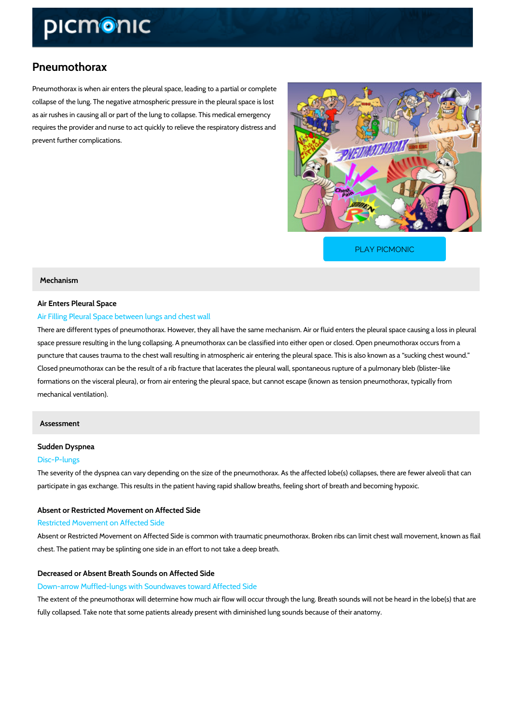# Pneumothorax

Pneumothorax is when air enters the pleural space, leading to a partial or complete collapse of the lung. The negative atmospheric pressure in the pleural space is lost as air rushes in causing all or part of the lung to collapse. This medical emergency requires the provider and nurse to act quickly to relieve the respiratory distress and prevent further complications.

[PLAY PICMONIC](https://www.picmonic.com/learn/pneumothorax_1527?utm_source=downloadable_content&utm_medium=distributedcontent&utm_campaign=pathways_pdf&utm_content=Pneumothorax&utm_ad_group=leads&utm_market=all)

## Mechanism

## Air Enters Pleural Space

## Air Filling Pleural Space between lungs and chest wall

There are different types of pneumothorax. However, they all have the same mechanism. Air o space pressure resulting in the lung collapsing. A pneumothorax can be classified into either puncture that causes trauma to the chest wall resulting in atmospheric air entering the pleura Closed pneumothorax can be the result of a rib fracture that lacerates the pleural wall, spont formations on the visceral pleura), or from air entering the pleural space, but cannot escape mechanical ventilation).

## Assessment

# Sudden Dyspnea

## Disc-P-lungs

The severity of the dyspnea can vary depending on the size of the pneumothorax. As the affec participate in gas exchange. This results in the patient having rapid shallow breaths, feeling

## Absent or Restricted Movement on Affected Side

## Restricted Movement on Affected Side

Absent or Restricted Movement on Affected Side is common with traumatic pneumothorax. Brol chest. The patient may be splinting one side in an effort to not take a deep breath.

## Decreased or Absent Breath Sounds on Affected Side

Down-arrow Muffled-lungs with Soundwaves toward Affected Side

The extent of the pneumothorax will determine how much air flow will occur through the lung. fully collapsed. Take note that some patients already present with diminished lung sounds bed